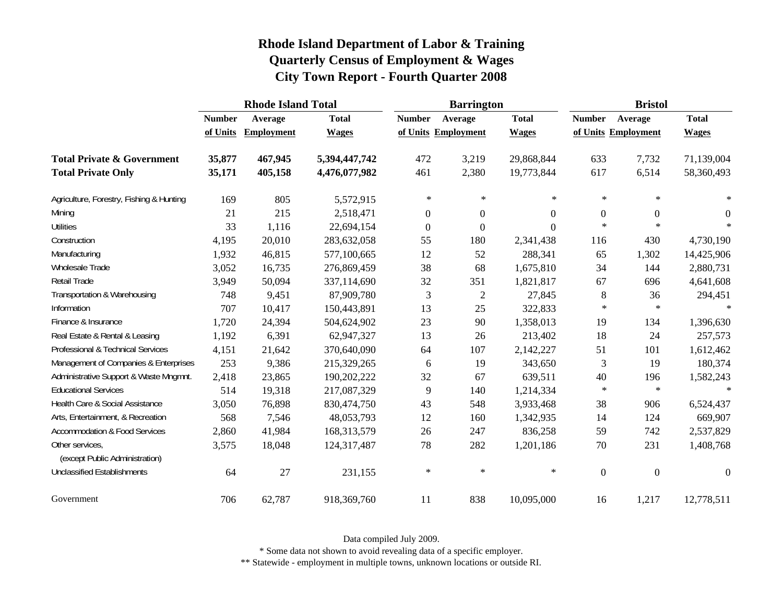|                                                   | <b>Rhode Island Total</b> |                   |               |                  | <b>Barrington</b>   |                | <b>Bristol</b>   |                     |                |
|---------------------------------------------------|---------------------------|-------------------|---------------|------------------|---------------------|----------------|------------------|---------------------|----------------|
|                                                   | <b>Number</b>             | Average           | <b>Total</b>  | <b>Number</b>    | Average             | <b>Total</b>   | <b>Number</b>    | Average             | <b>Total</b>   |
|                                                   | of Units                  | <b>Employment</b> | <b>Wages</b>  |                  | of Units Employment | <b>Wages</b>   |                  | of Units Employment | <b>Wages</b>   |
| <b>Total Private &amp; Government</b>             | 35,877                    | 467,945           | 5,394,447,742 | 472              | 3,219               | 29,868,844     | 633              | 7,732               | 71,139,004     |
| <b>Total Private Only</b>                         | 35,171                    | 405,158           | 4,476,077,982 | 461              | 2,380               | 19,773,844     | 617              | 6,514               | 58,360,493     |
| Agriculture, Forestry, Fishing & Hunting          | 169                       | 805               | 5,572,915     | $\ast$           | $\ast$              | *              | $\ast$           | $\ast$              | $\ast$         |
| Mining                                            | 21                        | 215               | 2,518,471     | $\boldsymbol{0}$ | $\boldsymbol{0}$    | $\overline{0}$ | $\boldsymbol{0}$ | $\boldsymbol{0}$    | $\overline{0}$ |
| <b>Utilities</b>                                  | 33                        | 1,116             | 22,694,154    | $\mathbf{0}$     | $\overline{0}$      | 0              | $\ast$           | $\ast$              | $\ast$         |
| Construction                                      | 4,195                     | 20,010            | 283,632,058   | 55               | 180                 | 2,341,438      | 116              | 430                 | 4,730,190      |
| Manufacturing                                     | 1,932                     | 46,815            | 577,100,665   | 12               | 52                  | 288,341        | 65               | 1,302               | 14,425,906     |
| Wholesale Trade                                   | 3,052                     | 16,735            | 276,869,459   | 38               | 68                  | 1,675,810      | 34               | 144                 | 2,880,731      |
| <b>Retail Trade</b>                               | 3,949                     | 50,094            | 337,114,690   | 32               | 351                 | 1,821,817      | 67               | 696                 | 4,641,608      |
| Transportation & Warehousing                      | 748                       | 9,451             | 87,909,780    | 3                | $\overline{2}$      | 27,845         | $\,8\,$          | 36                  | 294,451        |
| Information                                       | 707                       | 10,417            | 150,443,891   | 13               | 25                  | 322,833        | $\ast$           | $\ast$              | $\ast$         |
| Finance & Insurance                               | 1,720                     | 24,394            | 504,624,902   | 23               | 90                  | 1,358,013      | 19               | 134                 | 1,396,630      |
| Real Estate & Rental & Leasing                    | 1,192                     | 6,391             | 62,947,327    | 13               | 26                  | 213,402        | 18               | 24                  | 257,573        |
| Professional & Technical Services                 | 4,151                     | 21,642            | 370,640,090   | 64               | 107                 | 2,142,227      | 51               | 101                 | 1,612,462      |
| Management of Companies & Enterprises             | 253                       | 9,386             | 215,329,265   | 6                | 19                  | 343,650        | 3                | 19                  | 180,374        |
| Administrative Support & Waste Mngmnt.            | 2,418                     | 23,865            | 190,202,222   | 32               | 67                  | 639,511        | 40               | 196                 | 1,582,243      |
| <b>Educational Services</b>                       | 514                       | 19,318            | 217,087,329   | 9                | 140                 | 1,214,334      | $\ast$           | $\ast$              | $\ast$         |
| Health Care & Social Assistance                   | 3,050                     | 76,898            | 830,474,750   | 43               | 548                 | 3,933,468      | 38               | 906                 | 6,524,437      |
| Arts, Entertainment, & Recreation                 | 568                       | 7,546             | 48,053,793    | 12               | 160                 | 1,342,935      | 14               | 124                 | 669,907        |
| <b>Accommodation &amp; Food Services</b>          | 2,860                     | 41,984            | 168,313,579   | 26               | 247                 | 836,258        | 59               | 742                 | 2,537,829      |
| Other services,<br>(except Public Administration) | 3,575                     | 18,048            | 124,317,487   | 78               | 282                 | 1,201,186      | 70               | 231                 | 1,408,768      |
| <b>Unclassified Establishments</b>                | 64                        | 27                | 231,155       | $\ast$           | $\ast$              | $\ast$         | $\boldsymbol{0}$ | $\boldsymbol{0}$    | $\theta$       |
| Government                                        | 706                       | 62,787            | 918,369,760   | 11               | 838                 | 10,095,000     | 16               | 1,217               | 12,778,511     |

Data compiled July 2009.

\* Some data not shown to avoid revealing data of a specific employer.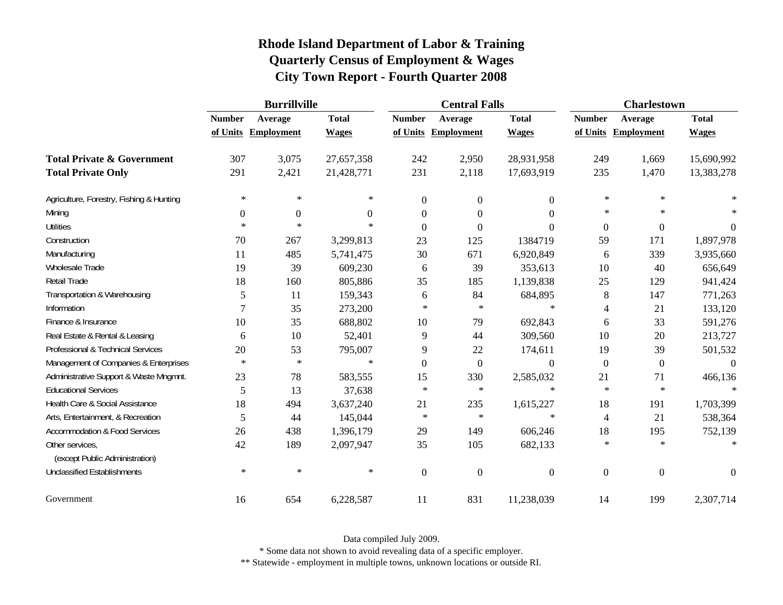|                                                   |               | <b>Burrillville</b> |              |               | <b>Central Falls</b> |                  |                  | <b>Charlestown</b> |              |  |
|---------------------------------------------------|---------------|---------------------|--------------|---------------|----------------------|------------------|------------------|--------------------|--------------|--|
|                                                   | <b>Number</b> | Average             | <b>Total</b> | <b>Number</b> | Average              | <b>Total</b>     | <b>Number</b>    | Average            | <b>Total</b> |  |
|                                                   | of Units      | <b>Employment</b>   | <b>Wages</b> |               | of Units Employment  | <b>Wages</b>     | of Units         | Employment         | <b>Wages</b> |  |
| <b>Total Private &amp; Government</b>             | 307           | 3,075               | 27,657,358   | 242           | 2,950                | 28,931,958       | 249              | 1,669              | 15,690,992   |  |
| <b>Total Private Only</b>                         | 291           | 2,421               | 21,428,771   | 231           | 2,118                | 17,693,919       | 235              | 1,470              | 13,383,278   |  |
| Agriculture, Forestry, Fishing & Hunting          | $\ast$        | $\ast$              | $\ast$       | $\theta$      | $\overline{0}$       | $\overline{0}$   | $\ast$           | $\ast$             |              |  |
| Mining                                            | $\mathbf{0}$  | $\boldsymbol{0}$    | 0            | $\theta$      | $\overline{0}$       | $\overline{0}$   | $\ast$           | $\ast$             |              |  |
| <b>Utilities</b>                                  | $\ast$        | $\ast$              | $\ast$       | $\theta$      | $\theta$             | $\overline{0}$   | $\boldsymbol{0}$ | $\boldsymbol{0}$   | $\Omega$     |  |
| Construction                                      | 70            | 267                 | 3,299,813    | 23            | 125                  | 1384719          | 59               | 171                | 1,897,978    |  |
| Manufacturing                                     | 11            | 485                 | 5,741,475    | 30            | 671                  | 6,920,849        | 6                | 339                | 3,935,660    |  |
| Wholesale Trade                                   | 19            | 39                  | 609,230      | 6             | 39                   | 353,613          | 10               | 40                 | 656,649      |  |
| Retail Trade                                      | 18            | 160                 | 805,886      | 35            | 185                  | 1,139,838        | 25               | 129                | 941,424      |  |
| Transportation & Warehousing                      | 5             | 11                  | 159,343      | 6             | 84                   | 684,895          | $\,8\,$          | 147                | 771,263      |  |
| Information                                       | 7             | 35                  | 273,200      | $\ast$        | $\ast$               | $\ast$           | $\overline{4}$   | 21                 | 133,120      |  |
| Finance & Insurance                               | 10            | 35                  | 688,802      | 10            | 79                   | 692,843          | 6                | 33                 | 591,276      |  |
| Real Estate & Rental & Leasing                    | 6             | 10                  | 52,401       | 9             | 44                   | 309,560          | 10               | 20                 | 213,727      |  |
| Professional & Technical Services                 | 20            | 53                  | 795,007      | 9             | 22                   | 174,611          | 19               | 39                 | 501,532      |  |
| Management of Companies & Enterprises             | $\ast$        | $\ast$              | $\ast$       | $\theta$      | $\boldsymbol{0}$     | $\boldsymbol{0}$ | $\boldsymbol{0}$ | $\boldsymbol{0}$   | $\theta$     |  |
| Administrative Support & Waste Mngmnt.            | 23            | 78                  | 583,555      | 15            | 330                  | 2,585,032        | 21               | 71                 | 466,136      |  |
| <b>Educational Services</b>                       | 5             | 13                  | 37,638       | $\ast$        | $\ast$               | $\ast$           | $\ast$           | $\star$            |              |  |
| Health Care & Social Assistance                   | 18            | 494                 | 3,637,240    | 21            | 235                  | 1,615,227        | 18               | 191                | 1,703,399    |  |
| Arts, Entertainment, & Recreation                 | 5             | 44                  | 145,044      | $\ast$        | $\ast$               | $\ast$           | $\overline{4}$   | 21                 | 538,364      |  |
| <b>Accommodation &amp; Food Services</b>          | 26            | 438                 | 1,396,179    | 29            | 149                  | 606,246          | 18               | 195                | 752,139      |  |
| Other services,<br>(except Public Administration) | 42            | 189                 | 2,097,947    | 35            | 105                  | 682,133          | $\ast$           | $\ast$             |              |  |
| <b>Unclassified Establishments</b>                | $\ast$        | $\ast$              | $\ast$       | $\mathbf{0}$  | $\boldsymbol{0}$     | $\boldsymbol{0}$ | $\boldsymbol{0}$ | $\overline{0}$     | $\Omega$     |  |
| Government                                        | 16            | 654                 | 6,228,587    | 11            | 831                  | 11,238,039       | 14               | 199                | 2,307,714    |  |

Data compiled July 2009.

\* Some data not shown to avoid revealing data of a specific employer.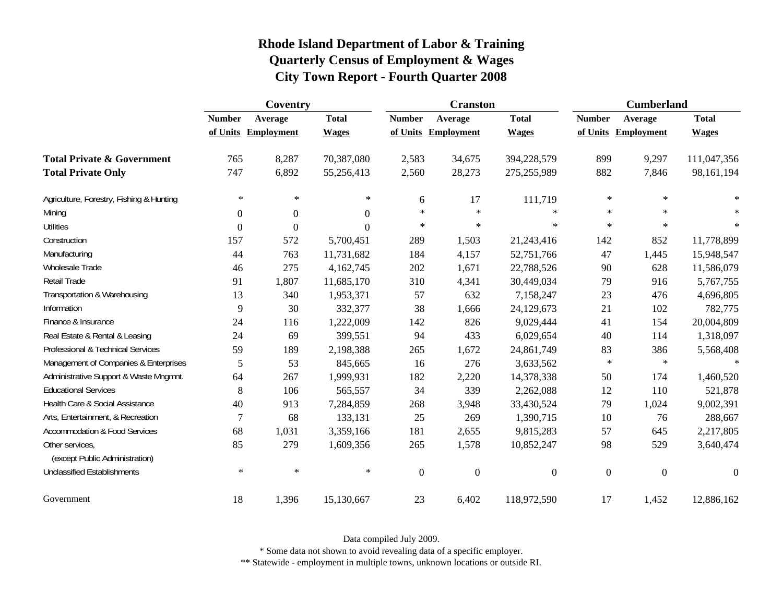|                                                   |                  | Coventry          |                | <b>Cranston</b>  |                   |                  | <b>Cumberland</b> |                   |              |
|---------------------------------------------------|------------------|-------------------|----------------|------------------|-------------------|------------------|-------------------|-------------------|--------------|
|                                                   | <b>Number</b>    | Average           | <b>Total</b>   | <b>Number</b>    | Average           | <b>Total</b>     | <b>Number</b>     | Average           | <b>Total</b> |
|                                                   | of Units         | <b>Employment</b> | <b>Wages</b>   | of Units         | <b>Employment</b> | <b>Wages</b>     | of Units          | <b>Employment</b> | <b>Wages</b> |
| <b>Total Private &amp; Government</b>             | 765              | 8,287             | 70,387,080     | 2,583            | 34,675            | 394,228,579      | 899               | 9,297             | 111,047,356  |
| <b>Total Private Only</b>                         | 747              | 6,892             | 55,256,413     | 2,560            | 28,273            | 275,255,989      | 882               | 7,846             | 98,161,194   |
| Agriculture, Forestry, Fishing & Hunting          | $\ast$           | $\ast$            | $\ast$         | 6                | 17                | 111,719          | $\ast$            | $\ast$            |              |
| Mining                                            | $\boldsymbol{0}$ | $\mathbf{0}$      | $\overline{0}$ | $\star$          | $\ast$            | $\ast$           | $\ast$            | $\star$           | $\ast$       |
| <b>Utilities</b>                                  | $\overline{0}$   | $\Omega$          | $\Omega$       | $\ast$           | $\ast$            | $\ast$           | $\ast$            | $\ast$            | $\ast$       |
| Construction                                      | 157              | 572               | 5,700,451      | 289              | 1,503             | 21,243,416       | 142               | 852               | 11,778,899   |
| Manufacturing                                     | 44               | 763               | 11,731,682     | 184              | 4,157             | 52,751,766       | 47                | 1,445             | 15,948,547   |
| Wholesale Trade                                   | 46               | 275               | 4,162,745      | 202              | 1,671             | 22,788,526       | 90                | 628               | 11,586,079   |
| Retail Trade                                      | 91               | 1,807             | 11,685,170     | 310              | 4,341             | 30,449,034       | 79                | 916               | 5,767,755    |
| Transportation & Warehousing                      | 13               | 340               | 1,953,371      | 57               | 632               | 7,158,247        | 23                | 476               | 4,696,805    |
| Information                                       | 9                | 30                | 332,377        | 38               | 1,666             | 24,129,673       | 21                | 102               | 782,775      |
| Finance & Insurance                               | 24               | 116               | 1,222,009      | 142              | 826               | 9,029,444        | 41                | 154               | 20,004,809   |
| Real Estate & Rental & Leasing                    | 24               | 69                | 399,551        | 94               | 433               | 6,029,654        | 40                | 114               | 1,318,097    |
| Professional & Technical Services                 | 59               | 189               | 2,198,388      | 265              | 1,672             | 24,861,749       | 83                | 386               | 5,568,408    |
| Management of Companies & Enterprises             | 5                | 53                | 845,665        | 16               | 276               | 3,633,562        | $\ast$            | $\ast$            | $\ast$       |
| Administrative Support & Waste Mngmnt.            | 64               | 267               | 1,999,931      | 182              | 2,220             | 14,378,338       | 50                | 174               | 1,460,520    |
| <b>Educational Services</b>                       | 8                | 106               | 565,557        | 34               | 339               | 2,262,088        | 12                | 110               | 521,878      |
| Health Care & Social Assistance                   | 40               | 913               | 7,284,859      | 268              | 3,948             | 33,430,524       | 79                | 1,024             | 9,002,391    |
| Arts, Entertainment, & Recreation                 | 7                | 68                | 133,131        | 25               | 269               | 1,390,715        | 10                | 76                | 288,667      |
| <b>Accommodation &amp; Food Services</b>          | 68               | 1,031             | 3,359,166      | 181              | 2,655             | 9,815,283        | 57                | 645               | 2,217,805    |
| Other services,<br>(except Public Administration) | 85               | 279               | 1,609,356      | 265              | 1,578             | 10,852,247       | 98                | 529               | 3,640,474    |
| <b>Unclassified Establishments</b>                | $\ast$           | $\ast$            | $\ast$         | $\boldsymbol{0}$ | $\boldsymbol{0}$  | $\boldsymbol{0}$ | $\boldsymbol{0}$  | $\boldsymbol{0}$  | $\theta$     |
| Government                                        | 18               | 1,396             | 15,130,667     | 23               | 6,402             | 118,972,590      | 17                | 1,452             | 12,886,162   |

Data compiled July 2009.

\* Some data not shown to avoid revealing data of a specific employer.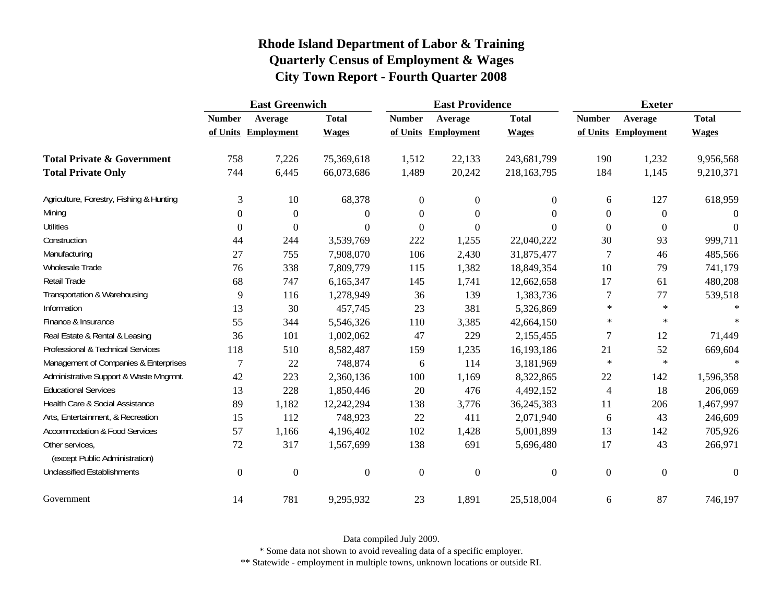|                                                   | <b>East Greenwich</b> |                   |                  | <b>East Providence</b> |                   |                  | <b>Exeter</b>    |                   |              |
|---------------------------------------------------|-----------------------|-------------------|------------------|------------------------|-------------------|------------------|------------------|-------------------|--------------|
|                                                   | <b>Number</b>         | Average           | <b>Total</b>     | <b>Number</b>          | Average           | <b>Total</b>     | <b>Number</b>    | Average           | <b>Total</b> |
|                                                   | of Units              | <b>Employment</b> | <b>Wages</b>     | of Units               | <b>Employment</b> | <b>Wages</b>     | of Units         | <b>Employment</b> | <b>Wages</b> |
| <b>Total Private &amp; Government</b>             | 758                   | 7,226             | 75,369,618       | 1,512                  | 22,133            | 243,681,799      | 190              | 1,232             | 9,956,568    |
| <b>Total Private Only</b>                         | 744                   | 6,445             | 66,073,686       | 1,489                  | 20,242            | 218,163,795      | 184              | 1,145             | 9,210,371    |
| Agriculture, Forestry, Fishing & Hunting          | 3                     | 10                | 68,378           | $\boldsymbol{0}$       | $\boldsymbol{0}$  | $\boldsymbol{0}$ | 6                | 127               | 618,959      |
| Mining                                            | $\theta$              | $\boldsymbol{0}$  | $\theta$         | $\boldsymbol{0}$       | $\boldsymbol{0}$  | $\boldsymbol{0}$ | $\boldsymbol{0}$ | $\boldsymbol{0}$  | $\Omega$     |
| <b>Utilities</b>                                  | $\theta$              | $\theta$          | $\theta$         | $\overline{0}$         | $\boldsymbol{0}$  | $\theta$         | $\mathbf{0}$     | $\mathbf{0}$      | $\Omega$     |
| Construction                                      | 44                    | 244               | 3,539,769        | 222                    | 1,255             | 22,040,222       | 30               | 93                | 999,711      |
| Manufacturing                                     | 27                    | 755               | 7,908,070        | 106                    | 2,430             | 31,875,477       | 7                | 46                | 485,566      |
| Wholesale Trade                                   | 76                    | 338               | 7,809,779        | 115                    | 1,382             | 18,849,354       | 10               | 79                | 741,179      |
| Retail Trade                                      | 68                    | 747               | 6,165,347        | 145                    | 1,741             | 12,662,658       | 17               | 61                | 480,208      |
| Transportation & Warehousing                      | 9                     | 116               | 1,278,949        | 36                     | 139               | 1,383,736        | 7                | 77                | 539,518      |
| Information                                       | 13                    | 30                | 457,745          | 23                     | 381               | 5,326,869        | $\ast$           | $\ast$            | $\ast$       |
| Finance & Insurance                               | 55                    | 344               | 5,546,326        | 110                    | 3,385             | 42,664,150       | $\ast$           | $\ast$            | $\ast$       |
| Real Estate & Rental & Leasing                    | 36                    | 101               | 1,002,062        | 47                     | 229               | 2,155,455        | 7                | 12                | 71,449       |
| Professional & Technical Services                 | 118                   | 510               | 8,582,487        | 159                    | 1,235             | 16,193,186       | 21               | 52                | 669,604      |
| Management of Companies & Enterprises             | $\overline{7}$        | 22                | 748,874          | 6                      | 114               | 3,181,969        | $\ast$           | $\ast$            | $\ast$       |
| Administrative Support & Waste Mngmnt.            | 42                    | 223               | 2,360,136        | 100                    | 1,169             | 8,322,865        | 22               | 142               | 1,596,358    |
| <b>Educational Services</b>                       | 13                    | 228               | 1,850,446        | 20                     | 476               | 4,492,152        | 4                | 18                | 206,069      |
| Health Care & Social Assistance                   | 89                    | 1,182             | 12,242,294       | 138                    | 3,776             | 36,245,383       | 11               | 206               | 1,467,997    |
| Arts, Entertainment, & Recreation                 | 15                    | 112               | 748,923          | 22                     | 411               | 2,071,940        | 6                | 43                | 246,609      |
| <b>Accommodation &amp; Food Services</b>          | 57                    | 1,166             | 4,196,402        | 102                    | 1,428             | 5,001,899        | 13               | 142               | 705,926      |
| Other services,<br>(except Public Administration) | 72                    | 317               | 1,567,699        | 138                    | 691               | 5,696,480        | 17               | 43                | 266,971      |
| <b>Unclassified Establishments</b>                | $\boldsymbol{0}$      | $\boldsymbol{0}$  | $\boldsymbol{0}$ | $\boldsymbol{0}$       | $\boldsymbol{0}$  | $\boldsymbol{0}$ | $\boldsymbol{0}$ | $\boldsymbol{0}$  | $\Omega$     |
| Government                                        | 14                    | 781               | 9,295,932        | 23                     | 1,891             | 25,518,004       | 6                | 87                | 746,197      |

Data compiled July 2009.

\* Some data not shown to avoid revealing data of a specific employer.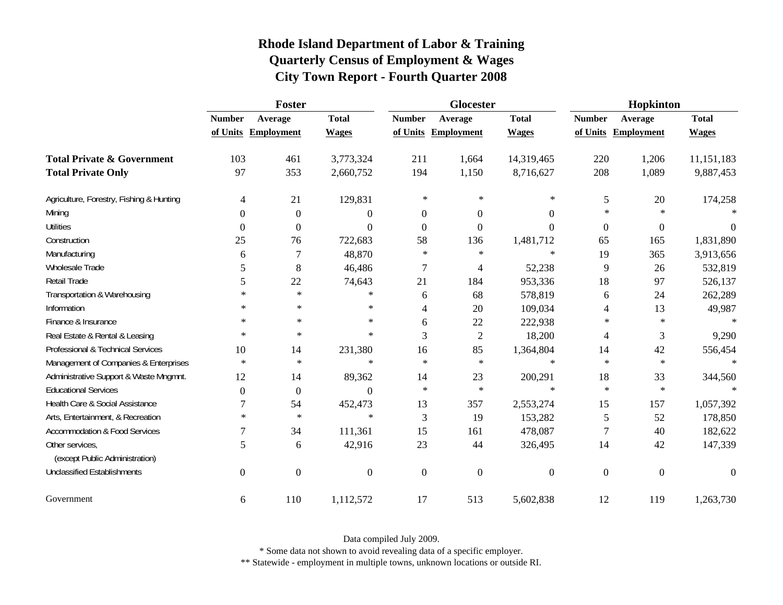|                                          | Foster           |                   |                | <b>Glocester</b> |                  |                  | Hopkinton        |                  |              |
|------------------------------------------|------------------|-------------------|----------------|------------------|------------------|------------------|------------------|------------------|--------------|
|                                          | <b>Number</b>    | Average           | <b>Total</b>   | <b>Number</b>    | Average          | <b>Total</b>     | <b>Number</b>    | Average          | <b>Total</b> |
|                                          | of Units         | <b>Employment</b> | <b>Wages</b>   | of Units         | Employment       | <b>Wages</b>     | of Units         | Employment       | <b>Wages</b> |
| <b>Total Private &amp; Government</b>    | 103              | 461               | 3,773,324      | 211              | 1,664            | 14,319,465       | 220              | 1,206            | 11,151,183   |
| <b>Total Private Only</b>                | 97               | 353               | 2,660,752      | 194              | 1,150            | 8,716,627        | 208              | 1,089            | 9,887,453    |
| Agriculture, Forestry, Fishing & Hunting | 4                | 21                | 129,831        | $\ast$           | $\ast$           | $\ast$           | 5                | 20               | 174,258      |
| Mining                                   | $\theta$         | $\boldsymbol{0}$  | $\overline{0}$ | $\overline{0}$   | $\overline{0}$   | $\overline{0}$   | $\ast$           | $\star$          |              |
| <b>Utilities</b>                         | $\overline{0}$   | $\boldsymbol{0}$  | $\Omega$       | $\theta$         | $\Omega$         | $\Omega$         | $\boldsymbol{0}$ | $\boldsymbol{0}$ | $\Omega$     |
| Construction                             | 25               | 76                | 722,683        | 58               | 136              | 1,481,712        | 65               | 165              | 1,831,890    |
| Manufacturing                            | 6                | 7                 | 48,870         | $\ast$           | $\ast$           | $\ast$           | 19               | 365              | 3,913,656    |
| Wholesale Trade                          | 5                | 8                 | 46,486         | 7                | 4                | 52,238           | 9                | 26               | 532,819      |
| Retail Trade                             | 5                | 22                | 74,643         | 21               | 184              | 953,336          | 18               | 97               | 526,137      |
| Transportation & Warehousing             | $\ast$           | $\ast$            | $\ast$         | 6                | 68               | 578,819          | 6                | 24               | 262,289      |
| Information                              | $\ast$           | $\ast$            | $\ast$         | $\overline{4}$   | 20               | 109,034          | 4                | 13               | 49,987       |
| Finance & Insurance                      | $\ast$           | $\ast$            | $\ast$         | 6                | 22               | 222,938          | $\ast$           | $\star$          | $*$          |
| Real Estate & Rental & Leasing           | $\ast$           | $\ast$            | $\ast$         | 3                | $\sqrt{2}$       | 18,200           | 4                | 3                | 9,290        |
| Professional & Technical Services        | 10               | 14                | 231,380        | 16               | 85               | 1,364,804        | 14               | 42               | 556,454      |
| Management of Companies & Enterprises    | $\ast$           | $\ast$            | $\ast$         | $\star$          | $\ast$           | $\ast$           | $\ast$           | $\ast$           | $\ast$       |
| Administrative Support & Waste Mngmnt.   | 12               | 14                | 89,362         | 14               | 23               | 200,291          | 18               | 33               | 344,560      |
| <b>Educational Services</b>              | $\boldsymbol{0}$ | $\boldsymbol{0}$  | $\Omega$       | $\ast$           | $\ast$           | $\ast$           | $\ast$           | $\star$          |              |
| Health Care & Social Assistance          | 7                | 54                | 452,473        | 13               | 357              | 2,553,274        | 15               | 157              | 1,057,392    |
| Arts, Entertainment, & Recreation        | $\ast$           | $\ast$            | $\ast$         | 3                | 19               | 153,282          | 5                | 52               | 178,850      |
| <b>Accommodation &amp; Food Services</b> | 7                | 34                | 111,361        | 15               | 161              | 478,087          | $\tau$           | 40               | 182,622      |
| Other services,                          | 5                | 6                 | 42,916         | 23               | 44               | 326,495          | 14               | 42               | 147,339      |
| (except Public Administration)           |                  |                   |                |                  |                  |                  |                  |                  |              |
| <b>Unclassified Establishments</b>       | $\overline{0}$   | $\boldsymbol{0}$  | $\overline{0}$ | $\boldsymbol{0}$ | $\boldsymbol{0}$ | $\boldsymbol{0}$ | $\boldsymbol{0}$ | $\boldsymbol{0}$ | $\theta$     |
| Government                               | 6                | 110               | 1,112,572      | 17               | 513              | 5,602,838        | 12               | 119              | 1,263,730    |

Data compiled July 2009.

\* Some data not shown to avoid revealing data of a specific employer.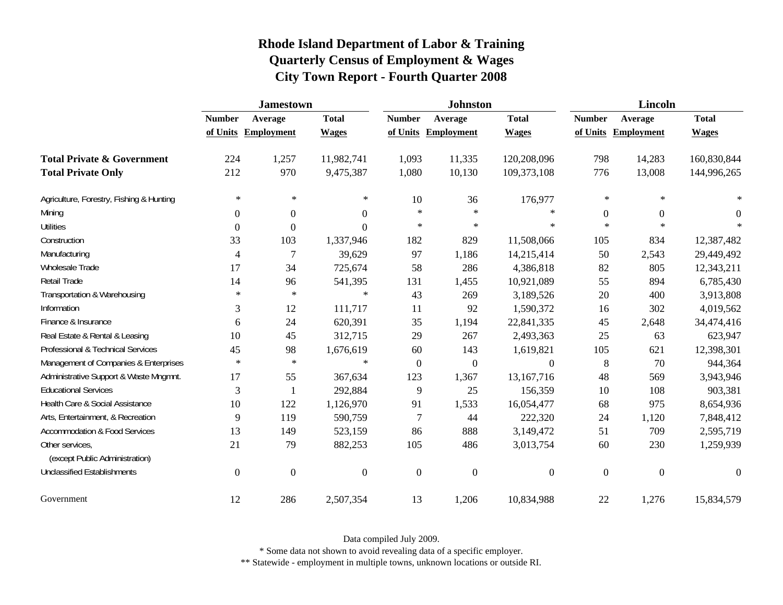|                                                   | <b>Jamestown</b> |                   |                  |                  | <b>Johnston</b>   |                  |                | <b>Lincoln</b>    |                |  |
|---------------------------------------------------|------------------|-------------------|------------------|------------------|-------------------|------------------|----------------|-------------------|----------------|--|
|                                                   | <b>Number</b>    | Average           | <b>Total</b>     | <b>Number</b>    | Average           | <b>Total</b>     | <b>Number</b>  | Average           | <b>Total</b>   |  |
|                                                   | of Units         | <b>Employment</b> | <b>Wages</b>     | of Units         | <b>Employment</b> | <b>Wages</b>     | of Units       | <b>Employment</b> | <b>Wages</b>   |  |
| <b>Total Private &amp; Government</b>             | 224              | 1,257             | 11,982,741       | 1,093            | 11,335            | 120,208,096      | 798            | 14,283            | 160,830,844    |  |
| <b>Total Private Only</b>                         | 212              | 970               | 9,475,387        | 1,080            | 10,130            | 109,373,108      | 776            | 13,008            | 144,996,265    |  |
| Agriculture, Forestry, Fishing & Hunting          | $\ast$           | $\ast$            | ∗                | 10               | 36                | 176,977          | $\ast$         | $\ast$            |                |  |
| Mining                                            | $\overline{0}$   | $\overline{0}$    | $\boldsymbol{0}$ | $\ast$           | $\ast$            | $\ast$           | $\overline{0}$ | $\Omega$          | $\overline{0}$ |  |
| <b>Utilities</b>                                  | $\overline{0}$   | $\Omega$          | $\boldsymbol{0}$ | $\ast$           | $\ast$            | $\ast$           | $\star$        | $\ast$            |                |  |
| Construction                                      | 33               | 103               | 1,337,946        | 182              | 829               | 11,508,066       | 105            | 834               | 12,387,482     |  |
| Manufacturing                                     | 4                | 7                 | 39,629           | 97               | 1,186             | 14,215,414       | 50             | 2,543             | 29,449,492     |  |
| Wholesale Trade                                   | 17               | 34                | 725,674          | 58               | 286               | 4,386,818        | 82             | 805               | 12,343,211     |  |
| Retail Trade                                      | 14               | 96                | 541,395          | 131              | 1,455             | 10,921,089       | 55             | 894               | 6,785,430      |  |
| Transportation & Warehousing                      | $\ast$           | $\ast$            | $\ast$           | 43               | 269               | 3,189,526        | 20             | 400               | 3,913,808      |  |
| Information                                       | 3                | 12                | 111,717          | 11               | 92                | 1,590,372        | 16             | 302               | 4,019,562      |  |
| Finance & Insurance                               | 6                | 24                | 620,391          | 35               | 1,194             | 22,841,335       | 45             | 2,648             | 34,474,416     |  |
| Real Estate & Rental & Leasing                    | 10               | 45                | 312,715          | 29               | 267               | 2,493,363        | 25             | 63                | 623,947        |  |
| Professional & Technical Services                 | 45               | 98                | 1,676,619        | 60               | 143               | 1,619,821        | 105            | 621               | 12,398,301     |  |
| Management of Companies & Enterprises             | $\ast$           | $\ast$            | $\ast$           | $\boldsymbol{0}$ | $\boldsymbol{0}$  | $\boldsymbol{0}$ | $\,8\,$        | 70                | 944,364        |  |
| Administrative Support & Waste Mngmnt.            | 17               | 55                | 367,634          | 123              | 1,367             | 13,167,716       | 48             | 569               | 3,943,946      |  |
| <b>Educational Services</b>                       | 3                |                   | 292,884          | 9                | 25                | 156,359          | 10             | 108               | 903,381        |  |
| Health Care & Social Assistance                   | 10               | 122               | 1,126,970        | 91               | 1,533             | 16,054,477       | 68             | 975               | 8,654,936      |  |
| Arts, Entertainment, & Recreation                 | 9                | 119               | 590,759          | 7                | 44                | 222,320          | 24             | 1,120             | 7,848,412      |  |
| <b>Accommodation &amp; Food Services</b>          | 13               | 149               | 523,159          | 86               | 888               | 3,149,472        | 51             | 709               | 2,595,719      |  |
| Other services,<br>(except Public Administration) | 21               | 79                | 882,253          | 105              | 486               | 3,013,754        | 60             | 230               | 1,259,939      |  |
| <b>Unclassified Establishments</b>                | $\boldsymbol{0}$ | $\overline{0}$    | $\boldsymbol{0}$ | $\boldsymbol{0}$ | $\boldsymbol{0}$  | $\boldsymbol{0}$ | $\overline{0}$ | $\mathbf{0}$      | $\theta$       |  |
| Government                                        | 12               | 286               | 2,507,354        | 13               | 1,206             | 10,834,988       | $22\,$         | 1,276             | 15,834,579     |  |

Data compiled July 2009.

\* Some data not shown to avoid revealing data of a specific employer.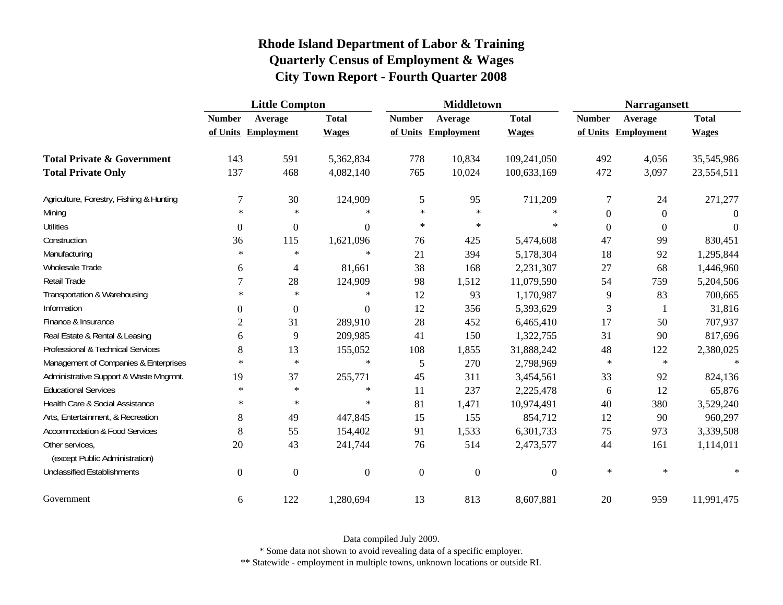|                                          | <b>Little Compton</b> |                   |                  | <b>Middletown</b> |                     |                  | <b>Narragansett</b> |                   |              |
|------------------------------------------|-----------------------|-------------------|------------------|-------------------|---------------------|------------------|---------------------|-------------------|--------------|
|                                          | <b>Number</b>         | Average           | <b>Total</b>     | <b>Number</b>     | Average             | <b>Total</b>     | <b>Number</b>       | Average           | <b>Total</b> |
|                                          | of Units              | <b>Employment</b> | <b>Wages</b>     |                   | of Units Employment | <b>Wages</b>     | of Units            | <b>Employment</b> | <b>Wages</b> |
| <b>Total Private &amp; Government</b>    | 143                   | 591               | 5,362,834        | 778               | 10,834              | 109,241,050      | 492                 | 4,056             | 35,545,986   |
| <b>Total Private Only</b>                | 137                   | 468               | 4,082,140        | 765               | 10,024              | 100,633,169      | 472                 | 3,097             | 23,554,511   |
| Agriculture, Forestry, Fishing & Hunting | 7                     | 30                | 124,909          | $\mathfrak s$     | 95                  | 711,209          | 7                   | 24                | 271,277      |
| Mining                                   | $\ast$                | $\ast$            | $\ast$           | $\star$           | $\ast$              | $\ast$           | $\mathbf{0}$        | $\overline{0}$    | $\Omega$     |
| <b>Utilities</b>                         | $\boldsymbol{0}$      | $\boldsymbol{0}$  | $\theta$         | $\ast$            | $\ast$              | $\ast$           | $\overline{0}$      | $\overline{0}$    | $\Omega$     |
| Construction                             | 36                    | 115               | 1,621,096        | 76                | 425                 | 5,474,608        | 47                  | 99                | 830,451      |
| Manufacturing                            | $\ast$                | $\ast$            | $\ast$           | 21                | 394                 | 5,178,304        | 18                  | 92                | 1,295,844    |
| Wholesale Trade                          | 6                     | 4                 | 81,661           | 38                | 168                 | 2,231,307        | 27                  | 68                | 1,446,960    |
| Retail Trade                             | 7                     | 28                | 124,909          | 98                | 1,512               | 11,079,590       | 54                  | 759               | 5,204,506    |
| Transportation & Warehousing             | $\ast$                | $\ast$            | $\ast$           | 12                | 93                  | 1,170,987        | 9                   | 83                | 700,665      |
| Information                              | $\theta$              | $\boldsymbol{0}$  | $\boldsymbol{0}$ | 12                | 356                 | 5,393,629        | 3                   | $\mathbf{1}$      | 31,816       |
| Finance & Insurance                      | $\overline{c}$        | 31                | 289,910          | 28                | 452                 | 6,465,410        | 17                  | 50                | 707,937      |
| Real Estate & Rental & Leasing           | 6                     | 9                 | 209,985          | 41                | 150                 | 1,322,755        | 31                  | 90                | 817,696      |
| Professional & Technical Services        | 8                     | 13                | 155,052          | 108               | 1,855               | 31,888,242       | 48                  | 122               | 2,380,025    |
| Management of Companies & Enterprises    | $\ast$                | $\ast$            | $\ast$           | 5                 | 270                 | 2,798,969        | $\ast$              | $\ast$            | $\ast$       |
| Administrative Support & Waste Mngmnt.   | 19                    | 37                | 255,771          | 45                | 311                 | 3,454,561        | 33                  | 92                | 824,136      |
| <b>Educational Services</b>              | $\ast$                | $\ast$            | $\ast$           | 11                | 237                 | 2,225,478        | 6                   | 12                | 65,876       |
| Health Care & Social Assistance          | $\ast$                | $\ast$            | $\ast$           | 81                | 1,471               | 10,974,491       | 40                  | 380               | 3,529,240    |
| Arts, Entertainment, & Recreation        | 8                     | 49                | 447,845          | 15                | 155                 | 854,712          | 12                  | 90                | 960,297      |
| <b>Accommodation &amp; Food Services</b> | $8\,$                 | 55                | 154,402          | 91                | 1,533               | 6,301,733        | 75                  | 973               | 3,339,508    |
| Other services,                          | 20                    | 43                | 241,744          | 76                | 514                 | 2,473,577        | 44                  | 161               | 1,114,011    |
| (except Public Administration)           |                       |                   |                  |                   |                     |                  |                     |                   |              |
| <b>Unclassified Establishments</b>       | $\boldsymbol{0}$      | $\boldsymbol{0}$  | $\boldsymbol{0}$ | $\boldsymbol{0}$  | $\boldsymbol{0}$    | $\boldsymbol{0}$ | $\ast$              | $\ast$            | $\ast$       |
| Government                               | 6                     | 122               | 1,280,694        | 13                | 813                 | 8,607,881        | 20                  | 959               | 11,991,475   |

Data compiled July 2009.

\* Some data not shown to avoid revealing data of a specific employer.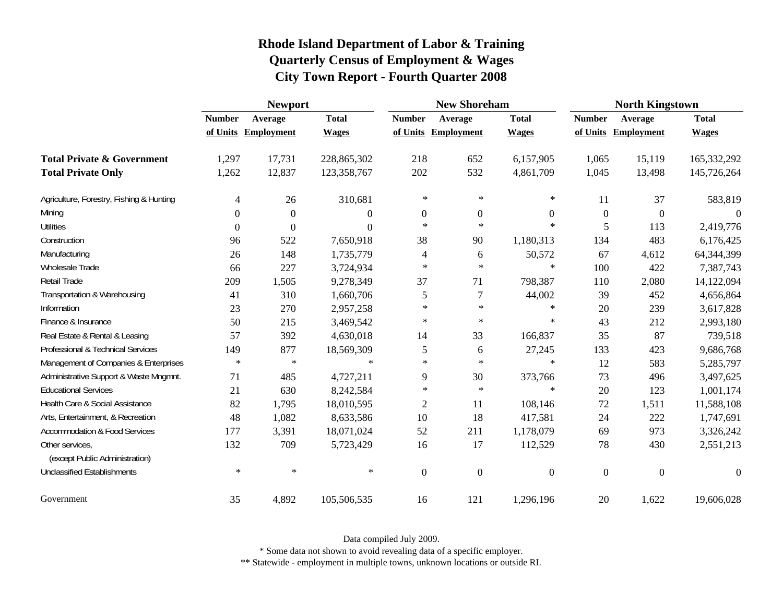|                                                   | <b>Newport</b> |                   |              | <b>New Shoreham</b> |                   |                  | <b>North Kingstown</b> |                   |               |
|---------------------------------------------------|----------------|-------------------|--------------|---------------------|-------------------|------------------|------------------------|-------------------|---------------|
|                                                   | <b>Number</b>  | Average           | <b>Total</b> | <b>Number</b>       | Average           | <b>Total</b>     | <b>Number</b>          | Average           | <b>Total</b>  |
|                                                   | of Units       | <b>Employment</b> | <b>Wages</b> | of Units            | <b>Employment</b> | <b>Wages</b>     | of Units               | <b>Employment</b> | <b>Wages</b>  |
| <b>Total Private &amp; Government</b>             | 1,297          | 17,731            | 228,865,302  | 218                 | 652               | 6,157,905        | 1,065                  | 15,119            | 165, 332, 292 |
| <b>Total Private Only</b>                         | 1,262          | 12,837            | 123,358,767  | 202                 | 532               | 4,861,709        | 1,045                  | 13,498            | 145,726,264   |
| Agriculture, Forestry, Fishing & Hunting          | 4              | 26                | 310,681      | $\ast$              | $\ast$            | ∗                | 11                     | 37                | 583,819       |
| Mining                                            | $\Omega$       | $\overline{0}$    | $\Omega$     | $\overline{0}$      | $\boldsymbol{0}$  | $\boldsymbol{0}$ | $\mathbf{0}$           | $\theta$          | $\Omega$      |
| <b>Utilities</b>                                  | $\Omega$       | $\Omega$          | $\Omega$     | $\ast$              | $\ast$            | $\ast$           | 5                      | 113               | 2,419,776     |
| Construction                                      | 96             | 522               | 7,650,918    | 38                  | 90                | 1,180,313        | 134                    | 483               | 6,176,425     |
| Manufacturing                                     | 26             | 148               | 1,735,779    | 4                   | 6                 | 50,572           | 67                     | 4,612             | 64,344,399    |
| <b>Wholesale Trade</b>                            | 66             | 227               | 3,724,934    | $\ast$              | $\ast$            | $\ast$           | 100                    | 422               | 7,387,743     |
| Retail Trade                                      | 209            | 1,505             | 9,278,349    | 37                  | 71                | 798,387          | 110                    | 2,080             | 14,122,094    |
| Transportation & Warehousing                      | 41             | 310               | 1,660,706    | 5                   | 7                 | 44,002           | 39                     | 452               | 4,656,864     |
| Information                                       | 23             | 270               | 2,957,258    | $\ast$              | $\ast$            | ∗                | 20                     | 239               | 3,617,828     |
| Finance & Insurance                               | 50             | 215               | 3,469,542    | $\ast$              | $\ast$            | $\ast$           | 43                     | 212               | 2,993,180     |
| Real Estate & Rental & Leasing                    | 57             | 392               | 4,630,018    | 14                  | 33                | 166,837          | 35                     | 87                | 739,518       |
| Professional & Technical Services                 | 149            | 877               | 18,569,309   | 5                   | 6                 | 27,245           | 133                    | 423               | 9,686,768     |
| Management of Companies & Enterprises             | $\ast$         | $\ast$            | $\ast$       | $\star$             | $\ast$            | $\ast$           | 12                     | 583               | 5,285,797     |
| Administrative Support & Waste Mngmnt.            | 71             | 485               | 4,727,211    | 9                   | 30                | 373,766          | 73                     | 496               | 3,497,625     |
| <b>Educational Services</b>                       | 21             | 630               | 8,242,584    | $\ast$              | $\ast$            | $\ast$           | 20                     | 123               | 1,001,174     |
| Health Care & Social Assistance                   | 82             | 1,795             | 18,010,595   | $\mathfrak{2}$      | 11                | 108,146          | $72\,$                 | 1,511             | 11,588,108    |
| Arts, Entertainment, & Recreation                 | 48             | 1,082             | 8,633,586    | 10                  | 18                | 417,581          | 24                     | 222               | 1,747,691     |
| <b>Accommodation &amp; Food Services</b>          | 177            | 3,391             | 18,071,024   | 52                  | 211               | 1,178,079        | 69                     | 973               | 3,326,242     |
| Other services,<br>(except Public Administration) | 132            | 709               | 5,723,429    | 16                  | 17                | 112,529          | 78                     | 430               | 2,551,213     |
| <b>Unclassified Establishments</b>                | $\ast$         | $\ast$            | $\ast$       | $\boldsymbol{0}$    | $\mathbf{0}$      | $\boldsymbol{0}$ | $\overline{0}$         | $\boldsymbol{0}$  | $\theta$      |
| Government                                        | 35             | 4,892             | 105,506,535  | 16                  | 121               | 1,296,196        | 20                     | 1,622             | 19,606,028    |

Data compiled July 2009.

\* Some data not shown to avoid revealing data of a specific employer.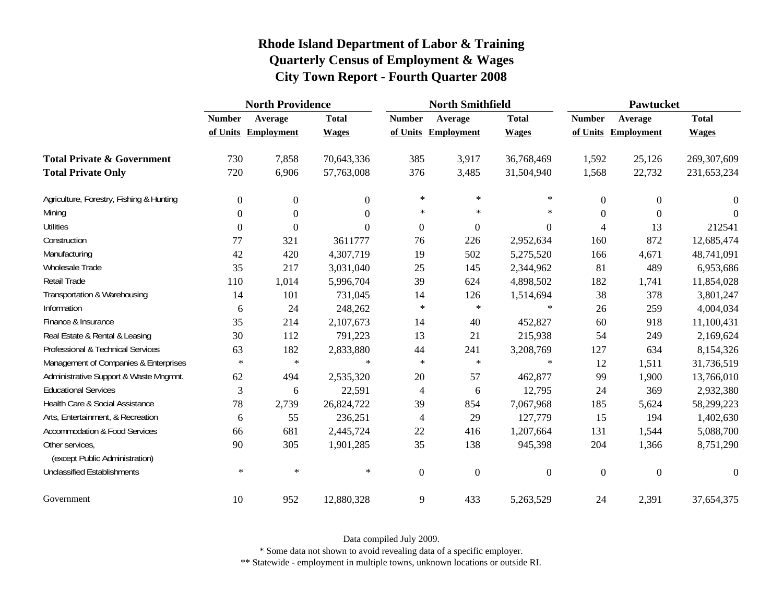| Rhode Island Department of Labor & Training       |
|---------------------------------------------------|
| <b>Quarterly Census of Employment &amp; Wages</b> |
| <b>City Town Report - Fourth Quarter 2008</b>     |

|                                                   | <b>North Providence</b> |                  |                | <b>North Smithfield</b> |                   |                  | Pawtucket      |                   |                |
|---------------------------------------------------|-------------------------|------------------|----------------|-------------------------|-------------------|------------------|----------------|-------------------|----------------|
|                                                   | <b>Number</b>           | Average          | <b>Total</b>   | <b>Number</b>           | Average           | <b>Total</b>     | <b>Number</b>  | Average           | <b>Total</b>   |
|                                                   | of Units                | Employment       | <b>Wages</b>   | of Units                | <b>Employment</b> | <b>Wages</b>     | of Units       | <b>Employment</b> | <b>Wages</b>   |
| <b>Total Private &amp; Government</b>             | 730                     | 7,858            | 70,643,336     | 385                     | 3,917             | 36,768,469       | 1,592          | 25,126            | 269,307,609    |
| <b>Total Private Only</b>                         | 720                     | 6,906            | 57,763,008     | 376                     | 3,485             | 31,504,940       | 1,568          | 22,732            | 231,653,234    |
| Agriculture, Forestry, Fishing & Hunting          | $\overline{0}$          | $\boldsymbol{0}$ | $\overline{0}$ | $\ast$                  | $\ast$            | ∗                | $\overline{0}$ | $\theta$          | $\overline{0}$ |
| Mining                                            | $\theta$                | $\boldsymbol{0}$ | $\theta$       | $\ast$                  | $\ast$            | $\ast$           | $\theta$       | $\Omega$          | $\Omega$       |
| <b>Utilities</b>                                  | $\theta$                | $\theta$         | $\Omega$       | $\boldsymbol{0}$        | $\boldsymbol{0}$  | $\Omega$         | 4              | 13                | 212541         |
| Construction                                      | 77                      | 321              | 3611777        | 76                      | 226               | 2,952,634        | 160            | 872               | 12,685,474     |
| Manufacturing                                     | 42                      | 420              | 4,307,719      | 19                      | 502               | 5,275,520        | 166            | 4,671             | 48,741,091     |
| <b>Wholesale Trade</b>                            | 35                      | 217              | 3,031,040      | 25                      | 145               | 2,344,962        | 81             | 489               | 6,953,686      |
| Retail Trade                                      | 110                     | 1,014            | 5,996,704      | 39                      | 624               | 4,898,502        | 182            | 1,741             | 11,854,028     |
| Transportation & Warehousing                      | 14                      | 101              | 731,045        | 14                      | 126               | 1,514,694        | 38             | 378               | 3,801,247      |
| Information                                       | 6                       | 24               | 248,262        | $\ast$                  | $\ast$            | $\ast$           | 26             | 259               | 4,004,034      |
| Finance & Insurance                               | 35                      | 214              | 2,107,673      | 14                      | 40                | 452,827          | 60             | 918               | 11,100,431     |
| Real Estate & Rental & Leasing                    | 30                      | 112              | 791,223        | 13                      | 21                | 215,938          | 54             | 249               | 2,169,624      |
| Professional & Technical Services                 | 63                      | 182              | 2,833,880      | 44                      | 241               | 3,208,769        | 127            | 634               | 8,154,326      |
| Management of Companies & Enterprises             | $\ast$                  | $\ast$           | $\ast$         | $\ast$                  | $\ast$            | $\ast$           | 12             | 1,511             | 31,736,519     |
| Administrative Support & Waste Mngmnt.            | 62                      | 494              | 2,535,320      | 20                      | 57                | 462,877          | 99             | 1,900             | 13,766,010     |
| <b>Educational Services</b>                       | 3                       | 6                | 22,591         | 4                       | 6                 | 12,795           | 24             | 369               | 2,932,380      |
| Health Care & Social Assistance                   | 78                      | 2,739            | 26,824,722     | 39                      | 854               | 7,067,968        | 185            | 5,624             | 58,299,223     |
| Arts, Entertainment, & Recreation                 | 6                       | 55               | 236,251        | 4                       | 29                | 127,779          | 15             | 194               | 1,402,630      |
| <b>Accommodation &amp; Food Services</b>          | 66                      | 681              | 2,445,724      | 22                      | 416               | 1,207,664        | 131            | 1,544             | 5,088,700      |
| Other services,<br>(except Public Administration) | 90                      | 305              | 1,901,285      | 35                      | 138               | 945,398          | 204            | 1,366             | 8,751,290      |
| <b>Unclassified Establishments</b>                | $\ast$                  | $\ast$           | $\ast$         | $\boldsymbol{0}$        | $\boldsymbol{0}$  | $\boldsymbol{0}$ | $\overline{0}$ | $\boldsymbol{0}$  | $\overline{0}$ |
| Government                                        | 10                      | 952              | 12,880,328     | 9                       | 433               | 5,263,529        | 24             | 2,391             | 37,654,375     |

Data compiled July 2009.

\* Some data not shown to avoid revealing data of a specific employer.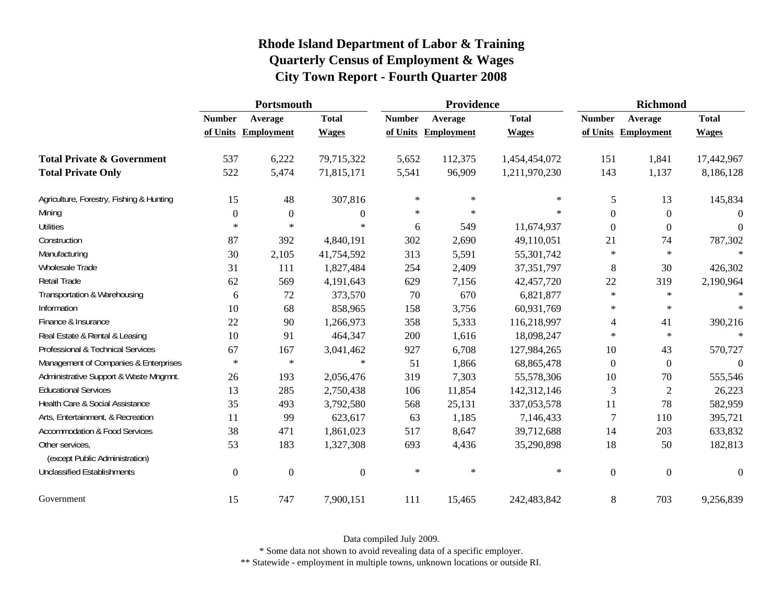|                                                   | Portsmouth       |                   |                  |               | Providence        |               | <b>Richmond</b>  |                   |              |
|---------------------------------------------------|------------------|-------------------|------------------|---------------|-------------------|---------------|------------------|-------------------|--------------|
|                                                   | <b>Number</b>    | Average           | <b>Total</b>     | <b>Number</b> | Average           | <b>Total</b>  | <b>Number</b>    | Average           | <b>Total</b> |
|                                                   | of Units         | <b>Employment</b> | <b>Wages</b>     | of Units      | <b>Employment</b> | <b>Wages</b>  | of Units         | <b>Employment</b> | <b>Wages</b> |
| <b>Total Private &amp; Government</b>             | 537              | 6,222             | 79,715,322       | 5,652         | 112,375           | 1,454,454,072 | 151              | 1,841             | 17,442,967   |
| <b>Total Private Only</b>                         | 522              | 5,474             | 71,815,171       | 5,541         | 96,909            | 1,211,970,230 | 143              | 1,137             | 8,186,128    |
| Agriculture, Forestry, Fishing & Hunting          | 15               | 48                | 307,816          | $\ast$        | $\ast$            | $\ast$        | 5                | 13                | 145,834      |
| Mining                                            | $\mathbf{0}$     | $\mathbf{0}$      | $\boldsymbol{0}$ | $\ast$        | $\ast$            | $\ast$        | $\boldsymbol{0}$ | $\boldsymbol{0}$  | $\Omega$     |
| <b>Utilities</b>                                  | $\ast$           | $\ast$            | *                | 6             | 549               | 11,674,937    | $\theta$         | $\boldsymbol{0}$  | $\Omega$     |
| Construction                                      | 87               | 392               | 4,840,191        | 302           | 2,690             | 49,110,051    | 21               | 74                | 787,302      |
| Manufacturing                                     | 30               | 2,105             | 41,754,592       | 313           | 5,591             | 55,301,742    | ∗                | $\ast$            | $\ast$       |
| Wholesale Trade                                   | 31               | 111               | 1,827,484        | 254           | 2,409             | 37,351,797    | 8                | 30                | 426,302      |
| Retail Trade                                      | 62               | 569               | 4,191,643        | 629           | 7,156             | 42,457,720    | 22               | 319               | 2,190,964    |
| Transportation & Warehousing                      | 6                | 72                | 373,570          | 70            | 670               | 6,821,877     | $\ast$           | $\ast$            | $*$          |
| Information                                       | 10               | 68                | 858,965          | 158           | 3,756             | 60,931,769    | $\ast$           | $\ast$            | $*$          |
| Finance & Insurance                               | 22               | 90                | 1,266,973        | 358           | 5,333             | 116,218,997   | 4                | 41                | 390,216      |
| Real Estate & Rental & Leasing                    | 10               | 91                | 464,347          | 200           | 1,616             | 18,098,247    | $\ast$           | $\ast$            |              |
| Professional & Technical Services                 | 67               | 167               | 3,041,462        | 927           | 6,708             | 127,984,265   | 10               | 43                | 570,727      |
| Management of Companies & Enterprises             | $\ast$           | $\ast$            | $\ast$           | 51            | 1,866             | 68,865,478    | $\overline{0}$   | $\boldsymbol{0}$  | $\theta$     |
| Administrative Support & Waste Mngmnt.            | 26               | 193               | 2,056,476        | 319           | 7,303             | 55,578,306    | 10               | 70                | 555,546      |
| <b>Educational Services</b>                       | 13               | 285               | 2,750,438        | 106           | 11,854            | 142,312,146   | 3                | $\overline{c}$    | 26,223       |
| Health Care & Social Assistance                   | 35               | 493               | 3,792,580        | 568           | 25,131            | 337,053,578   | 11               | 78                | 582,959      |
| Arts, Entertainment, & Recreation                 | 11               | 99                | 623,617          | 63            | 1,185             | 7,146,433     | $\overline{7}$   | 110               | 395,721      |
| <b>Accommodation &amp; Food Services</b>          | 38               | 471               | 1,861,023        | 517           | 8,647             | 39,712,688    | 14               | 203               | 633,832      |
| Other services,<br>(except Public Administration) | 53               | 183               | 1,327,308        | 693           | 4,436             | 35,290,898    | 18               | 50                | 182,813      |
| <b>Unclassified Establishments</b>                |                  |                   |                  | $\ast$        | $\ast$            | $\ast$        |                  |                   |              |
|                                                   | $\boldsymbol{0}$ | $\mathbf{0}$      | $\boldsymbol{0}$ |               |                   |               | $\boldsymbol{0}$ | $\mathbf{0}$      | $\theta$     |
| Government                                        | 15               | 747               | 7,900,151        | 111           | 15,465            | 242,483,842   | 8                | 703               | 9,256,839    |

Data compiled July 2009.

\* Some data not shown to avoid revealing data of a specific employer.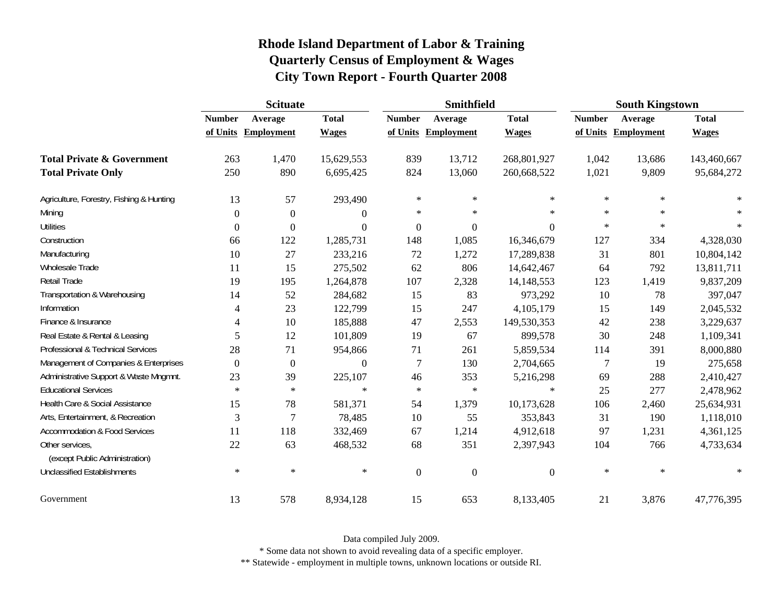|                                                   | <b>Scituate</b> |                   |                  |                  | <b>Smithfield</b> |                  | <b>South Kingstown</b> |                   |              |
|---------------------------------------------------|-----------------|-------------------|------------------|------------------|-------------------|------------------|------------------------|-------------------|--------------|
|                                                   | <b>Number</b>   | Average           | <b>Total</b>     | <b>Number</b>    | Average           | <b>Total</b>     | <b>Number</b>          | Average           | <b>Total</b> |
|                                                   | of Units        | <b>Employment</b> | <b>Wages</b>     | of Units         | Employment        | <b>Wages</b>     | of Units               | <b>Employment</b> | <b>Wages</b> |
| <b>Total Private &amp; Government</b>             | 263             | 1,470             | 15,629,553       | 839              | 13,712            | 268,801,927      | 1,042                  | 13,686            | 143,460,667  |
| <b>Total Private Only</b>                         | 250             | 890               | 6,695,425        | 824              | 13,060            | 260,668,522      | 1,021                  | 9,809             | 95,684,272   |
| Agriculture, Forestry, Fishing & Hunting          | 13              | 57                | 293,490          | $\ast$           | $\ast$            | $\ast$           | $\ast$                 | $\ast$            |              |
| Mining                                            | $\Omega$        | $\overline{0}$    | $\boldsymbol{0}$ | $\ast$           | $\ast$            | $\star$          | $\ast$                 | $\ast$            | $\ast$       |
| <b>Utilities</b>                                  | $\Omega$        | $\theta$          | $\boldsymbol{0}$ | $\boldsymbol{0}$ | 0                 | $\theta$         | $\ast$                 | $\ast$            | $\ast$       |
| Construction                                      | 66              | 122               | 1,285,731        | 148              | 1,085             | 16,346,679       | 127                    | 334               | 4,328,030    |
| Manufacturing                                     | 10              | 27                | 233,216          | 72               | 1,272             | 17,289,838       | 31                     | 801               | 10,804,142   |
| <b>Wholesale Trade</b>                            | 11              | 15                | 275,502          | 62               | 806               | 14,642,467       | 64                     | 792               | 13,811,711   |
| Retail Trade                                      | 19              | 195               | 1,264,878        | 107              | 2,328             | 14,148,553       | 123                    | 1,419             | 9,837,209    |
| Transportation & Warehousing                      | 14              | 52                | 284,682          | 15               | 83                | 973,292          | 10                     | 78                | 397,047      |
| Information                                       | 4               | 23                | 122,799          | 15               | 247               | 4,105,179        | 15                     | 149               | 2,045,532    |
| Finance & Insurance                               | 4               | 10                | 185,888          | 47               | 2,553             | 149,530,353      | 42                     | 238               | 3,229,637    |
| Real Estate & Rental & Leasing                    | 5               | 12                | 101,809          | 19               | 67                | 899,578          | 30                     | 248               | 1,109,341    |
| Professional & Technical Services                 | 28              | 71                | 954,866          | 71               | 261               | 5,859,534        | 114                    | 391               | 8,000,880    |
| Management of Companies & Enterprises             | $\Omega$        | $\boldsymbol{0}$  | $\boldsymbol{0}$ | $\overline{7}$   | 130               | 2,704,665        | $\tau$                 | 19                | 275,658      |
| Administrative Support & Waste Mngmnt.            | 23              | 39                | 225,107          | 46               | 353               | 5,216,298        | 69                     | 288               | 2,410,427    |
| <b>Educational Services</b>                       | $\ast$          | $\ast$            | $\ast$           | $\ast$           | $\ast$            | $\ast$           | 25                     | 277               | 2,478,962    |
| Health Care & Social Assistance                   | 15              | 78                | 581,371          | 54               | 1,379             | 10,173,628       | 106                    | 2,460             | 25,634,931   |
| Arts, Entertainment, & Recreation                 | 3               | 7                 | 78,485           | 10               | 55                | 353,843          | 31                     | 190               | 1,118,010    |
| <b>Accommodation &amp; Food Services</b>          | 11              | 118               | 332,469          | 67               | 1,214             | 4,912,618        | 97                     | 1,231             | 4,361,125    |
| Other services,<br>(except Public Administration) | 22              | 63                | 468,532          | 68               | 351               | 2,397,943        | 104                    | 766               | 4,733,634    |
| <b>Unclassified Establishments</b>                | $\ast$          | $\ast$            | $\ast$           | $\boldsymbol{0}$ | $\boldsymbol{0}$  | $\boldsymbol{0}$ | $\ast$                 | $\ast$            | $\ast$       |
| Government                                        | 13              | 578               | 8,934,128        | 15               | 653               | 8,133,405        | 21                     | 3,876             | 47,776,395   |

Data compiled July 2009.

\* Some data not shown to avoid revealing data of a specific employer.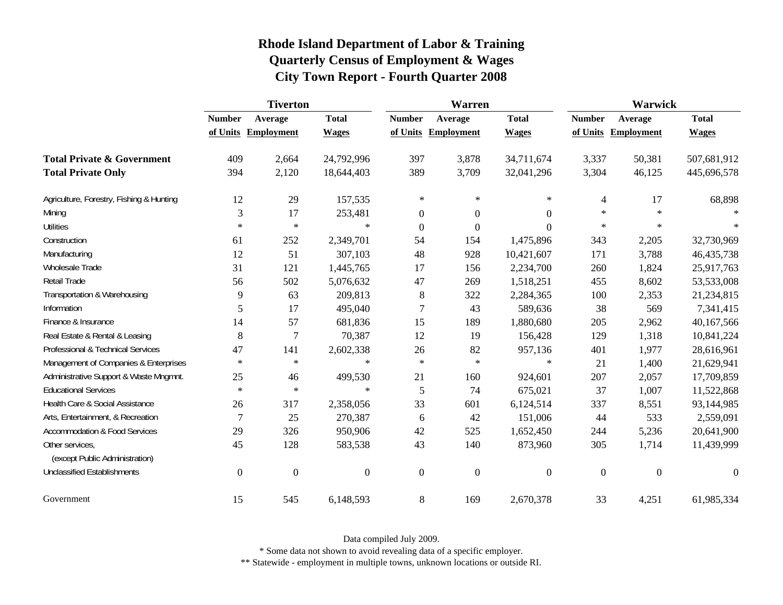|                                                   | <b>Tiverton</b>  |                   |                  | Warren           |                   |                  | Warwick        |                   |                |
|---------------------------------------------------|------------------|-------------------|------------------|------------------|-------------------|------------------|----------------|-------------------|----------------|
|                                                   | <b>Number</b>    | Average           | <b>Total</b>     | <b>Number</b>    | Average           | <b>Total</b>     | <b>Number</b>  | Average           | <b>Total</b>   |
|                                                   | of Units         | <b>Employment</b> | <b>Wages</b>     | of Units         | <b>Employment</b> | <b>Wages</b>     | of Units       | <b>Employment</b> | <b>Wages</b>   |
| <b>Total Private &amp; Government</b>             | 409              | 2,664             | 24,792,996       | 397              | 3,878             | 34,711,674       | 3,337          | 50,381            | 507,681,912    |
| <b>Total Private Only</b>                         | 394              | 2,120             | 18,644,403       | 389              | 3,709             | 32,041,296       | 3,304          | 46,125            | 445,696,578    |
| Agriculture, Forestry, Fishing & Hunting          | 12               | 29                | 157,535          | $\ast$           | $\ast$            | $\ast$           | 4              | 17                | 68,898         |
| Mining                                            | 3                | 17                | 253,481          | $\boldsymbol{0}$ | $\boldsymbol{0}$  | $\overline{0}$   | $\ast$         | $\ast$            |                |
| <b>Utilities</b>                                  | $\ast$           | $\ast$            | $\ast$           | $\boldsymbol{0}$ | $\boldsymbol{0}$  | $\Omega$         | $\ast$         | $\ast$            |                |
| Construction                                      | 61               | 252               | 2,349,701        | 54               | 154               | 1,475,896        | 343            | 2,205             | 32,730,969     |
| Manufacturing                                     | 12               | 51                | 307,103          | 48               | 928               | 10,421,607       | 171            | 3,788             | 46, 435, 738   |
| <b>Wholesale Trade</b>                            | 31               | 121               | 1,445,765        | 17               | 156               | 2,234,700        | 260            | 1,824             | 25,917,763     |
| Retail Trade                                      | 56               | 502               | 5,076,632        | 47               | 269               | 1,518,251        | 455            | 8,602             | 53,533,008     |
| Transportation & Warehousing                      | 9                | 63                | 209,813          | 8                | 322               | 2,284,365        | 100            | 2,353             | 21,234,815     |
| Information                                       | 5                | 17                | 495,040          | 7                | 43                | 589,636          | 38             | 569               | 7,341,415      |
| Finance & Insurance                               | 14               | 57                | 681,836          | 15               | 189               | 1,880,680        | 205            | 2,962             | 40,167,566     |
| Real Estate & Rental & Leasing                    | 8                | 7                 | 70,387           | 12               | 19                | 156,428          | 129            | 1,318             | 10,841,224     |
| Professional & Technical Services                 | 47               | 141               | 2,602,338        | 26               | 82                | 957,136          | 401            | 1,977             | 28,616,961     |
| Management of Companies & Enterprises             | $\ast$           | $\ast$            | $\ast$           | $\ast$           | $\ast$            | $\ast$           | 21             | 1,400             | 21,629,941     |
| Administrative Support & Waste Mngmnt.            | 25               | 46                | 499,530          | 21               | 160               | 924,601          | 207            | 2,057             | 17,709,859     |
| <b>Educational Services</b>                       | $\ast$           | $\ast$            | $\ast$           | 5                | 74                | 675,021          | 37             | 1,007             | 11,522,868     |
| Health Care & Social Assistance                   | 26               | 317               | 2,358,056        | 33               | 601               | 6,124,514        | 337            | 8,551             | 93,144,985     |
| Arts, Entertainment, & Recreation                 | $\overline{7}$   | 25                | 270,387          | 6                | 42                | 151,006          | 44             | 533               | 2,559,091      |
| <b>Accommodation &amp; Food Services</b>          | 29               | 326               | 950,906          | 42               | 525               | 1,652,450        | 244            | 5,236             | 20,641,900     |
| Other services,<br>(except Public Administration) | 45               | 128               | 583,538          | 43               | 140               | 873,960          | 305            | 1,714             | 11,439,999     |
| <b>Unclassified Establishments</b>                | $\boldsymbol{0}$ | $\boldsymbol{0}$  | $\boldsymbol{0}$ | $\boldsymbol{0}$ | $\boldsymbol{0}$  | $\boldsymbol{0}$ | $\overline{0}$ | $\boldsymbol{0}$  | $\overline{0}$ |
| Government                                        | 15               | 545               | 6,148,593        | $\,8\,$          | 169               | 2,670,378        | 33             | 4,251             | 61,985,334     |

Data compiled July 2009.

\* Some data not shown to avoid revealing data of a specific employer.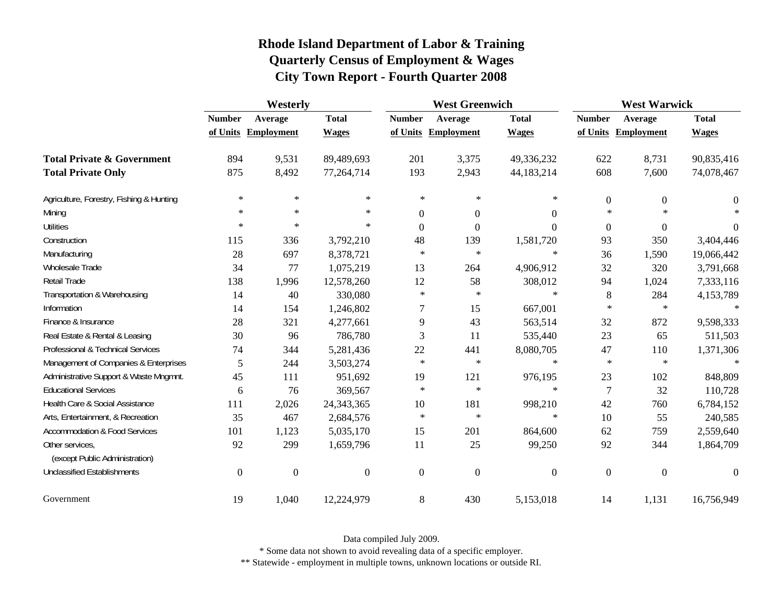|                                                   | Westerly         |                   |                  | <b>West Greenwich</b> |                     |                  | <b>West Warwick</b> |                   |                |
|---------------------------------------------------|------------------|-------------------|------------------|-----------------------|---------------------|------------------|---------------------|-------------------|----------------|
|                                                   | <b>Number</b>    | Average           | <b>Total</b>     | <b>Number</b>         | Average             | <b>Total</b>     | <b>Number</b>       | Average           | <b>Total</b>   |
|                                                   | of Units         | <b>Employment</b> | <b>Wages</b>     |                       | of Units Employment | <b>Wages</b>     | of Units            | <b>Employment</b> | <b>Wages</b>   |
| <b>Total Private &amp; Government</b>             | 894              | 9,531             | 89,489,693       | 201                   | 3,375               | 49,336,232       | 622                 | 8,731             | 90,835,416     |
| <b>Total Private Only</b>                         | 875              | 8,492             | 77,264,714       | 193                   | 2,943               | 44,183,214       | 608                 | 7,600             | 74,078,467     |
| Agriculture, Forestry, Fishing & Hunting          | $\ast$           | $\ast$            | $\ast$           | $\ast$                | $\ast$              | $\ast$           | $\boldsymbol{0}$    | $\boldsymbol{0}$  | $\overline{0}$ |
| Mining                                            | $\ast$           | $\ast$            | $\ast$           | $\boldsymbol{0}$      | $\boldsymbol{0}$    | $\mathbf{0}$     | $\ast$              | $\ast$            |                |
| <b>Utilities</b>                                  | $\ast$           | $\ast$            | $\ast$           | $\theta$              | $\boldsymbol{0}$    | $\Omega$         | $\overline{0}$      | $\theta$          | $\Omega$       |
| Construction                                      | 115              | 336               | 3,792,210        | 48                    | 139                 | 1,581,720        | 93                  | 350               | 3,404,446      |
| Manufacturing                                     | 28               | 697               | 8,378,721        | $\ast$                | $\ast$              | $\ast$           | 36                  | 1,590             | 19,066,442     |
| Wholesale Trade                                   | 34               | 77                | 1,075,219        | 13                    | 264                 | 4,906,912        | 32                  | 320               | 3,791,668      |
| Retail Trade                                      | 138              | 1,996             | 12,578,260       | 12                    | 58                  | 308,012          | 94                  | 1,024             | 7,333,116      |
| Transportation & Warehousing                      | 14               | 40                | 330,080          | $\ast$                | $\ast$              | $\ast$           | 8                   | 284               | 4,153,789      |
| Information                                       | 14               | 154               | 1,246,802        | 7                     | 15                  | 667,001          | $\ast$              | $\ast$            | $\ast$         |
| Finance & Insurance                               | 28               | 321               | 4,277,661        | 9                     | 43                  | 563,514          | 32                  | 872               | 9,598,333      |
| Real Estate & Rental & Leasing                    | 30               | 96                | 786,780          | 3                     | 11                  | 535,440          | 23                  | 65                | 511,503        |
| Professional & Technical Services                 | 74               | 344               | 5,281,436        | 22                    | 441                 | 8,080,705        | 47                  | 110               | 1,371,306      |
| Management of Companies & Enterprises             | 5                | 244               | 3,503,274        | $\ast$                | $\ast$              | $\ast$           | $\ast$              | $\ast$            | $\star$        |
| Administrative Support & Waste Mngmnt.            | 45               | 111               | 951,692          | 19                    | 121                 | 976,195          | 23                  | 102               | 848,809        |
| <b>Educational Services</b>                       | 6                | 76                | 369,567          | $\ast$                | $\ast$              | $\ast$           | 7                   | 32                | 110,728        |
| Health Care & Social Assistance                   | 111              | 2,026             | 24, 343, 365     | 10                    | 181                 | 998,210          | 42                  | 760               | 6,784,152      |
| Arts, Entertainment, & Recreation                 | 35               | 467               | 2,684,576        | $\ast$                | $\ast$              | $\ast$           | 10                  | 55                | 240,585        |
| <b>Accommodation &amp; Food Services</b>          | 101              | 1,123             | 5,035,170        | 15                    | 201                 | 864,600          | 62                  | 759               | 2,559,640      |
| Other services,<br>(except Public Administration) | 92               | 299               | 1,659,796        | 11                    | 25                  | 99,250           | 92                  | 344               | 1,864,709      |
| Unclassified Establishments                       | $\boldsymbol{0}$ | $\boldsymbol{0}$  | $\boldsymbol{0}$ | $\boldsymbol{0}$      | $\boldsymbol{0}$    | $\boldsymbol{0}$ | $\overline{0}$      | $\boldsymbol{0}$  | $\theta$       |
| Government                                        | 19               | 1,040             | 12,224,979       | 8                     | 430                 | 5,153,018        | 14                  | 1,131             | 16,756,949     |

Data compiled July 2009.

\* Some data not shown to avoid revealing data of a specific employer.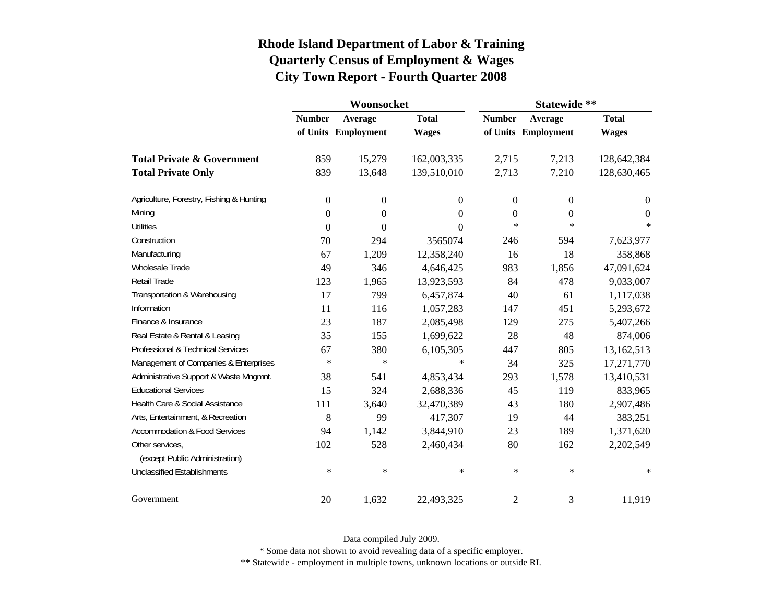|                                          |                  | Woonsocket        |                  | Statewide **     |                     |                  |  |
|------------------------------------------|------------------|-------------------|------------------|------------------|---------------------|------------------|--|
|                                          | <b>Number</b>    | Average           | <b>Total</b>     | <b>Number</b>    | Average             | <b>Total</b>     |  |
|                                          | of Units         | <b>Employment</b> | <b>Wages</b>     |                  | of Units Employment | <b>Wages</b>     |  |
| <b>Total Private &amp; Government</b>    | 859              | 15,279            | 162,003,335      | 2,715            | 7,213               | 128,642,384      |  |
| <b>Total Private Only</b>                | 839              | 13,648            | 139,510,010      | 2,713            | 7,210               | 128,630,465      |  |
| Agriculture, Forestry, Fishing & Hunting | $\boldsymbol{0}$ | $\boldsymbol{0}$  | $\boldsymbol{0}$ | $\boldsymbol{0}$ | $\boldsymbol{0}$    | $\boldsymbol{0}$ |  |
| Mining                                   | $\boldsymbol{0}$ | $\theta$          | $\theta$         | 0                | 0                   | $\theta$         |  |
| <b>Utilities</b>                         | $\boldsymbol{0}$ | $\theta$          | $\theta$         | $\ast$           | $\ast$              | $\ast$           |  |
| Construction                             | 70               | 294               | 3565074          | 246              | 594                 | 7,623,977        |  |
| Manufacturing                            | 67               | 1,209             | 12,358,240       | 16               | 18                  | 358,868          |  |
| <b>Wholesale Trade</b>                   | 49               | 346               | 4,646,425        | 983              | 1,856               | 47,091,624       |  |
| Retail Trade                             | 123              | 1,965             | 13,923,593       | 84               | 478                 | 9,033,007        |  |
| Transportation & Warehousing             | 17               | 799               | 6,457,874        | 40               | 61                  | 1,117,038        |  |
| Information                              | 11               | 116               | 1,057,283        | 147              | 451                 | 5,293,672        |  |
| Finance & Insurance                      | 23               | 187               | 2,085,498        | 129              | 275                 | 5,407,266        |  |
| Real Estate & Rental & Leasing           | 35               | 155               | 1,699,622        | 28               | 48                  | 874,006          |  |
| Professional & Technical Services        | 67               | 380               | 6,105,305        | 447              | 805                 | 13,162,513       |  |
| Management of Companies & Enterprises    | $\ast$           | $\ast$            | ∗                | 34               | 325                 | 17,271,770       |  |
| Administrative Support & Waste Mngmnt.   | 38               | 541               | 4,853,434        | 293              | 1,578               | 13,410,531       |  |
| <b>Educational Services</b>              | 15               | 324               | 2,688,336        | 45               | 119                 | 833,965          |  |
| Health Care & Social Assistance          | 111              | 3,640             | 32,470,389       | 43               | 180                 | 2,907,486        |  |
| Arts, Entertainment, & Recreation        | 8                | 99                | 417,307          | 19               | 44                  | 383,251          |  |
| <b>Accommodation &amp; Food Services</b> | 94               | 1,142             | 3,844,910        | 23               | 189                 | 1,371,620        |  |
| Other services,                          | 102              | 528               | 2,460,434        | 80               | 162                 | 2,202,549        |  |
| (except Public Administration)           |                  |                   |                  |                  |                     |                  |  |
| <b>Unclassified Establishments</b>       | ∗                | $\ast$            | $\ast$           | $\ast$           | ∗                   | ∗                |  |
| Government                               | 20               | 1,632             | 22,493,325       | $\overline{2}$   | 3                   | 11,919           |  |

Data compiled July 2009.

\* Some data not shown to avoid revealing data of a specific employer.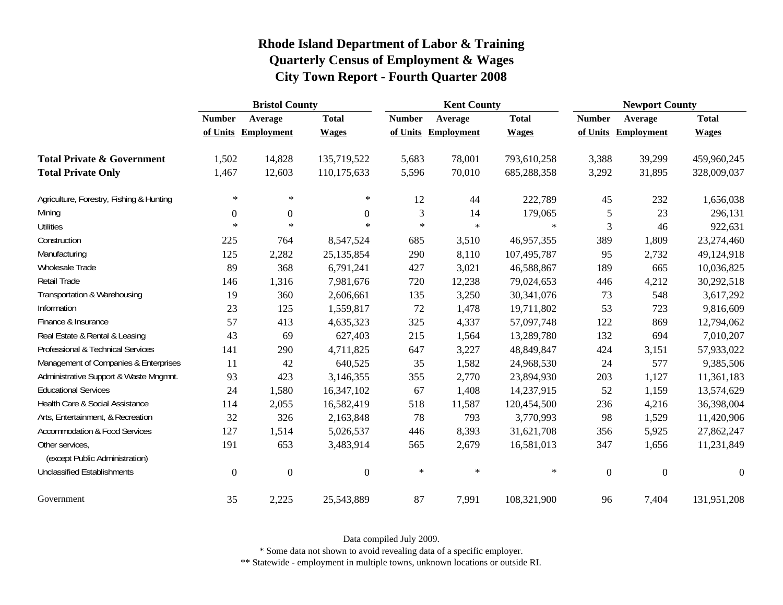|                                                   | <b>Bristol County</b> |                   |                  | <b>Kent County</b> |                   |              | <b>Newport County</b> |                   |              |
|---------------------------------------------------|-----------------------|-------------------|------------------|--------------------|-------------------|--------------|-----------------------|-------------------|--------------|
|                                                   | <b>Number</b>         | Average           | <b>Total</b>     | <b>Number</b>      | Average           | <b>Total</b> | <b>Number</b>         | Average           | <b>Total</b> |
|                                                   | of Units              | <b>Employment</b> | <b>Wages</b>     | of Units           | <b>Employment</b> | <b>Wages</b> | of Units              | <b>Employment</b> | <b>Wages</b> |
| <b>Total Private &amp; Government</b>             | 1,502                 | 14,828            | 135,719,522      | 5,683              | 78,001            | 793,610,258  | 3,388                 | 39,299            | 459,960,245  |
| <b>Total Private Only</b>                         | 1,467                 | 12,603            | 110,175,633      | 5,596              | 70,010            | 685,288,358  | 3,292                 | 31,895            | 328,009,037  |
| Agriculture, Forestry, Fishing & Hunting          | $\ast$                | $\ast$            | $\ast$           | 12                 | 44                | 222,789      | 45                    | 232               | 1,656,038    |
| Mining                                            | $\overline{0}$        | $\boldsymbol{0}$  | $\boldsymbol{0}$ | 3                  | 14                | 179,065      | 5                     | 23                | 296,131      |
| <b>Utilities</b>                                  | $\ast$                | $\ast$            | $\ast$           | $\ast$             | $\ast$            | $\ast$       | 3                     | 46                | 922,631      |
| Construction                                      | 225                   | 764               | 8,547,524        | 685                | 3,510             | 46,957,355   | 389                   | 1,809             | 23,274,460   |
| Manufacturing                                     | 125                   | 2,282             | 25, 135, 854     | 290                | 8,110             | 107,495,787  | 95                    | 2,732             | 49,124,918   |
| Wholesale Trade                                   | 89                    | 368               | 6,791,241        | 427                | 3,021             | 46,588,867   | 189                   | 665               | 10,036,825   |
| Retail Trade                                      | 146                   | 1,316             | 7,981,676        | 720                | 12,238            | 79,024,653   | 446                   | 4,212             | 30,292,518   |
| Transportation & Warehousing                      | 19                    | 360               | 2,606,661        | 135                | 3,250             | 30,341,076   | 73                    | 548               | 3,617,292    |
| Information                                       | 23                    | 125               | 1,559,817        | 72                 | 1,478             | 19,711,802   | 53                    | 723               | 9,816,609    |
| Finance & Insurance                               | 57                    | 413               | 4,635,323        | 325                | 4,337             | 57,097,748   | 122                   | 869               | 12,794,062   |
| Real Estate & Rental & Leasing                    | 43                    | 69                | 627,403          | 215                | 1,564             | 13,289,780   | 132                   | 694               | 7,010,207    |
| Professional & Technical Services                 | 141                   | 290               | 4,711,825        | 647                | 3,227             | 48,849,847   | 424                   | 3,151             | 57,933,022   |
| Management of Companies & Enterprises             | 11                    | 42                | 640,525          | 35                 | 1,582             | 24,968,530   | 24                    | 577               | 9,385,506    |
| Administrative Support & Waste Mngmnt.            | 93                    | 423               | 3,146,355        | 355                | 2,770             | 23,894,930   | 203                   | 1,127             | 11,361,183   |
| <b>Educational Services</b>                       | 24                    | 1,580             | 16,347,102       | 67                 | 1,408             | 14,237,915   | 52                    | 1,159             | 13,574,629   |
| Health Care & Social Assistance                   | 114                   | 2,055             | 16,582,419       | 518                | 11,587            | 120,454,500  | 236                   | 4,216             | 36,398,004   |
| Arts, Entertainment, & Recreation                 | 32                    | 326               | 2,163,848        | 78                 | 793               | 3,770,993    | 98                    | 1,529             | 11,420,906   |
| <b>Accommodation &amp; Food Services</b>          | 127                   | 1,514             | 5,026,537        | 446                | 8,393             | 31,621,708   | 356                   | 5,925             | 27,862,247   |
| Other services,<br>(except Public Administration) | 191                   | 653               | 3,483,914        | 565                | 2,679             | 16,581,013   | 347                   | 1,656             | 11,231,849   |
| <b>Unclassified Establishments</b>                | $\mathbf{0}$          | $\boldsymbol{0}$  | $\boldsymbol{0}$ | $\ast$             | $\ast$            | $\ast$       | $\mathbf{0}$          | $\overline{0}$    | $\theta$     |
| Government                                        | 35                    | 2,225             | 25,543,889       | 87                 | 7,991             | 108,321,900  | 96                    | 7,404             | 131,951,208  |

Data compiled July 2009.

\* Some data not shown to avoid revealing data of a specific employer.